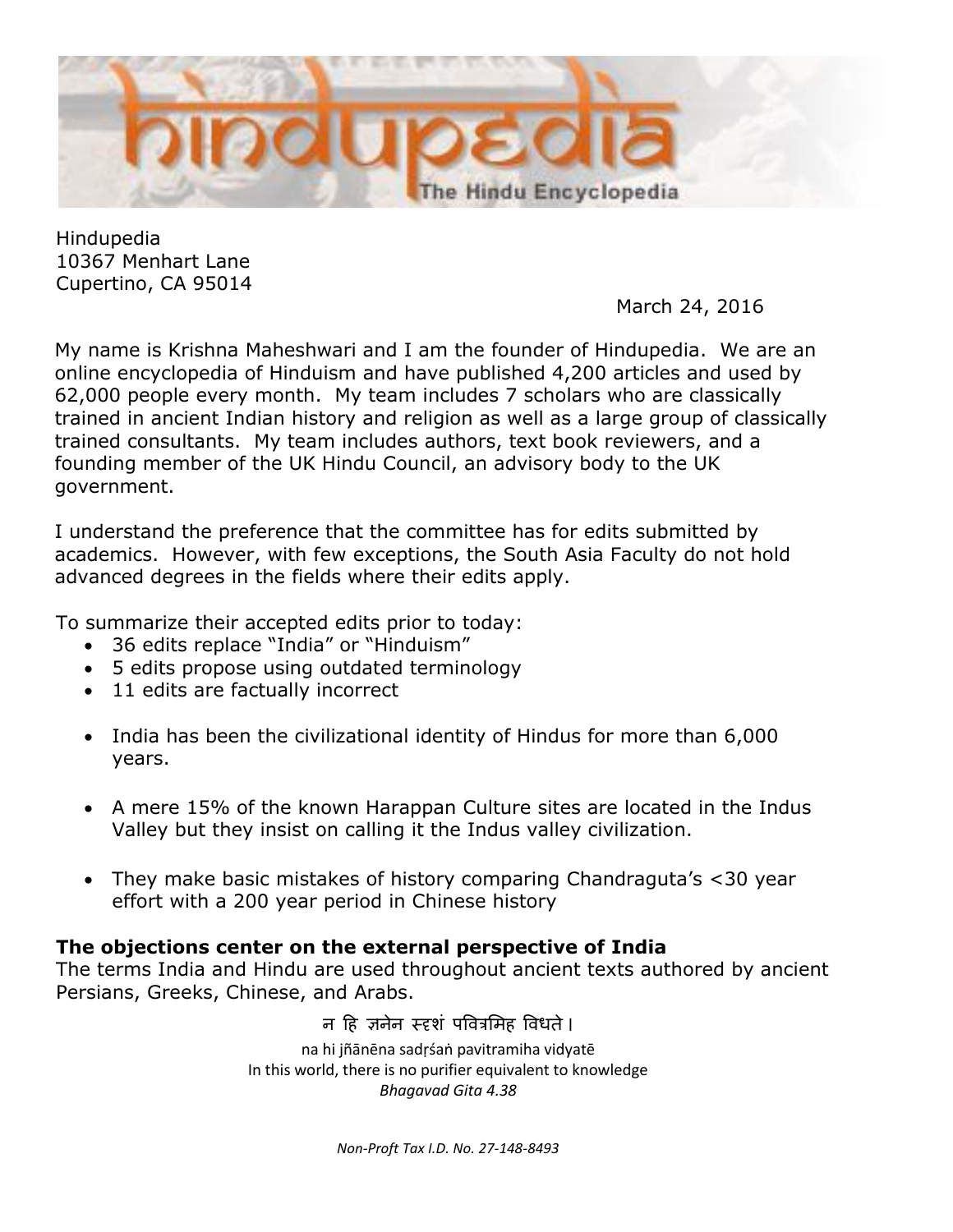

Hindupedia 10367 Menhart Lane Cupertino, CA 95014

March 24, 2016

My name is Krishna Maheshwari and I am the founder of Hindupedia. We are an online encyclopedia of Hinduism and have published 4,200 articles and used by 62,000 people every month. My team includes 7 scholars who are classically trained in ancient Indian history and religion as well as a large group of classically trained consultants. My team includes authors, text book reviewers, and a founding member of the UK Hindu Council, an advisory body to the UK government.

I understand the preference that the committee has for edits submitted by academics. However, with few exceptions, the South Asia Faculty do not hold advanced degrees in the fields where their edits apply.

To summarize their accepted edits prior to today:

- 36 edits replace "India" or "Hinduism"
- 5 edits propose using outdated terminology
- 11 edits are factually incorrect
- India has been the civilizational identity of Hindus for more than 6,000 years.
- A mere 15% of the known Harappan Culture sites are located in the Indus Valley but they insist on calling it the Indus valley civilization.
- They make basic mistakes of history comparing Chandraguta's <30 year effort with a 200 year period in Chinese history

## **The objections center on the external perspective of India**

The terms India and Hindu are used throughout ancient texts authored by ancient Persians, Greeks, Chinese, and Arabs.

> न हि जनेन स्दृशं पवित्रमिह विधते। na hi jñānēna sadṛśaṅ pavitramiha vidyatē In this world, there is no purifier equivalent to knowledge *Bhagavad Gita 4.38*